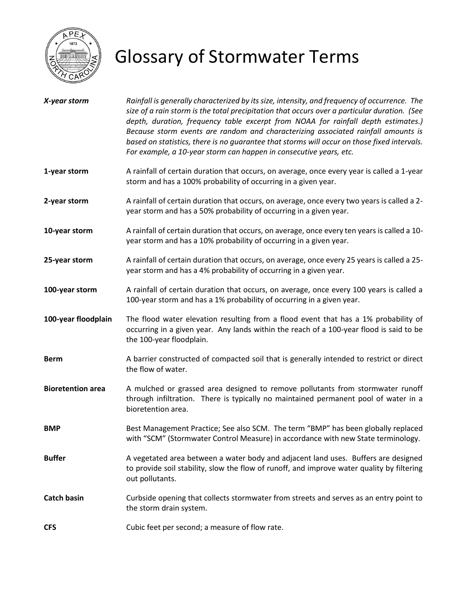

## Glossary of Stormwater Terms

| X-year storm             | Rainfall is generally characterized by its size, intensity, and frequency of occurrence. The<br>size of a rain storm is the total precipitation that occurs over a particular duration. (See<br>depth, duration, frequency table excerpt from NOAA for rainfall depth estimates.)<br>Because storm events are random and characterizing associated rainfall amounts is<br>based on statistics, there is no guarantee that storms will occur on those fixed intervals.<br>For example, a 10-year storm can happen in consecutive years, etc. |
|--------------------------|---------------------------------------------------------------------------------------------------------------------------------------------------------------------------------------------------------------------------------------------------------------------------------------------------------------------------------------------------------------------------------------------------------------------------------------------------------------------------------------------------------------------------------------------|
| 1-year storm             | A rainfall of certain duration that occurs, on average, once every year is called a 1-year<br>storm and has a 100% probability of occurring in a given year.                                                                                                                                                                                                                                                                                                                                                                                |
| 2-year storm             | A rainfall of certain duration that occurs, on average, once every two years is called a 2-<br>year storm and has a 50% probability of occurring in a given year.                                                                                                                                                                                                                                                                                                                                                                           |
| 10-year storm            | A rainfall of certain duration that occurs, on average, once every ten years is called a 10-<br>year storm and has a 10% probability of occurring in a given year.                                                                                                                                                                                                                                                                                                                                                                          |
| 25-year storm            | A rainfall of certain duration that occurs, on average, once every 25 years is called a 25-<br>year storm and has a 4% probability of occurring in a given year.                                                                                                                                                                                                                                                                                                                                                                            |
| 100-year storm           | A rainfall of certain duration that occurs, on average, once every 100 years is called a<br>100-year storm and has a 1% probability of occurring in a given year.                                                                                                                                                                                                                                                                                                                                                                           |
| 100-year floodplain      | The flood water elevation resulting from a flood event that has a 1% probability of<br>occurring in a given year. Any lands within the reach of a 100-year flood is said to be<br>the 100-year floodplain.                                                                                                                                                                                                                                                                                                                                  |
| <b>Berm</b>              | A barrier constructed of compacted soil that is generally intended to restrict or direct<br>the flow of water.                                                                                                                                                                                                                                                                                                                                                                                                                              |
| <b>Bioretention area</b> | A mulched or grassed area designed to remove pollutants from stormwater runoff<br>through infiltration. There is typically no maintained permanent pool of water in a<br>bioretention area.                                                                                                                                                                                                                                                                                                                                                 |
| <b>BMP</b>               | Best Management Practice; See also SCM. The term "BMP" has been globally replaced<br>with "SCM" (Stormwater Control Measure) in accordance with new State terminology.                                                                                                                                                                                                                                                                                                                                                                      |
| <b>Buffer</b>            | A vegetated area between a water body and adjacent land uses. Buffers are designed<br>to provide soil stability, slow the flow of runoff, and improve water quality by filtering<br>out pollutants.                                                                                                                                                                                                                                                                                                                                         |
| <b>Catch basin</b>       | Curbside opening that collects stormwater from streets and serves as an entry point to<br>the storm drain system.                                                                                                                                                                                                                                                                                                                                                                                                                           |
| <b>CFS</b>               | Cubic feet per second; a measure of flow rate.                                                                                                                                                                                                                                                                                                                                                                                                                                                                                              |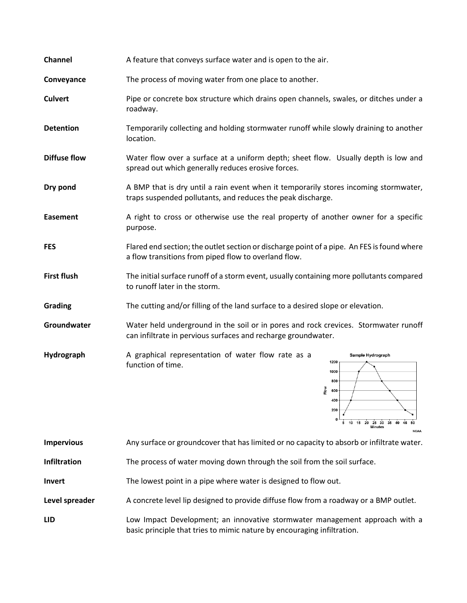| Channel             | A feature that conveys surface water and is open to the air.                                                                                         |
|---------------------|------------------------------------------------------------------------------------------------------------------------------------------------------|
| Conveyance          | The process of moving water from one place to another.                                                                                               |
| <b>Culvert</b>      | Pipe or concrete box structure which drains open channels, swales, or ditches under a<br>roadway.                                                    |
| <b>Detention</b>    | Temporarily collecting and holding stormwater runoff while slowly draining to another<br>location.                                                   |
| <b>Diffuse flow</b> | Water flow over a surface at a uniform depth; sheet flow. Usually depth is low and<br>spread out which generally reduces erosive forces.             |
| Dry pond            | A BMP that is dry until a rain event when it temporarily stores incoming stormwater,<br>traps suspended pollutants, and reduces the peak discharge.  |
| <b>Easement</b>     | A right to cross or otherwise use the real property of another owner for a specific<br>purpose.                                                      |
| <b>FES</b>          | Flared end section; the outlet section or discharge point of a pipe. An FES is found where<br>a flow transitions from piped flow to overland flow.   |
| <b>First flush</b>  | The initial surface runoff of a storm event, usually containing more pollutants compared<br>to runoff later in the storm.                            |
| Grading             | The cutting and/or filling of the land surface to a desired slope or elevation.                                                                      |
| Groundwater         | Water held underground in the soil or in pores and rock crevices. Stormwater runoff<br>can infiltrate in pervious surfaces and recharge groundwater. |
| Hydrograph          | A graphical representation of water flow rate as a<br>Sample Hydrograph<br>1200<br>function of time.<br>1000<br>800                                  |

**Impervious** Any surface or groundcover that has limited or no capacity to absorb or infiltrate water.

흔 600

5 10 15 20 25 30 35 40 45

 $50$ **OAA** 

- **Infiltration** The process of water moving down through the soil from the soil surface.
- **Invert** The lowest point in a pipe where water is designed to flow out.
- Level spreader A concrete level lip designed to provide diffuse flow from a roadway or a BMP outlet.
- **LID** Low Impact Development; an innovative stormwater management approach with a basic principle that tries to mimic nature by encouraging infiltration.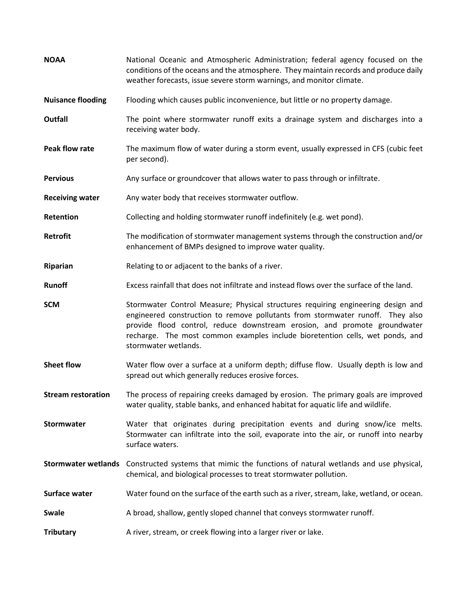| <b>NOAA</b>                | National Oceanic and Atmospheric Administration; federal agency focused on the<br>conditions of the oceans and the atmosphere. They maintain records and produce daily<br>weather forecasts, issue severe storm warnings, and monitor climate.  |
|----------------------------|-------------------------------------------------------------------------------------------------------------------------------------------------------------------------------------------------------------------------------------------------|
| <b>Nuisance flooding</b>   | Flooding which causes public inconvenience, but little or no property damage.                                                                                                                                                                   |
| Outfall                    | The point where stormwater runoff exits a drainage system and discharges into a<br>receiving water body.                                                                                                                                        |
| <b>Peak flow rate</b>      | The maximum flow of water during a storm event, usually expressed in CFS (cubic feet<br>per second).                                                                                                                                            |
| <b>Pervious</b>            | Any surface or groundcover that allows water to pass through or infiltrate.                                                                                                                                                                     |
| <b>Receiving water</b>     | Any water body that receives stormwater outflow.                                                                                                                                                                                                |
| Retention                  | Collecting and holding stormwater runoff indefinitely (e.g. wet pond).                                                                                                                                                                          |
| <b>Retrofit</b>            | The modification of stormwater management systems through the construction and/or<br>enhancement of BMPs designed to improve water quality.                                                                                                     |
| Riparian                   | Relating to or adjacent to the banks of a river.                                                                                                                                                                                                |
| <b>Runoff</b>              | Excess rainfall that does not infiltrate and instead flows over the surface of the land.                                                                                                                                                        |
| <b>SCM</b>                 | Stormwater Control Measure; Physical structures requiring engineering design and<br>engineered construction to remove pollutants from stormwater runoff. They also<br>provide flood control, reduce downstream erosion, and promote groundwater |
|                            | recharge. The most common examples include bioretention cells, wet ponds, and<br>stormwater wetlands.                                                                                                                                           |
| <b>Sheet flow</b>          | Water flow over a surface at a uniform depth; diffuse flow. Usually depth is low and<br>spread out which generally reduces erosive forces.                                                                                                      |
| <b>Stream restoration</b>  | The process of repairing creeks damaged by erosion. The primary goals are improved<br>water quality, stable banks, and enhanced habitat for aquatic life and wildlife.                                                                          |
| Stormwater                 | Water that originates during precipitation events and during snow/ice melts.<br>Stormwater can infiltrate into the soil, evaporate into the air, or runoff into nearby<br>surface waters.                                                       |
| <b>Stormwater wetlands</b> | Constructed systems that mimic the functions of natural wetlands and use physical,<br>chemical, and biological processes to treat stormwater pollution.                                                                                         |
| Surface water              | Water found on the surface of the earth such as a river, stream, lake, wetland, or ocean.                                                                                                                                                       |
| <b>Swale</b>               | A broad, shallow, gently sloped channel that conveys stormwater runoff.                                                                                                                                                                         |